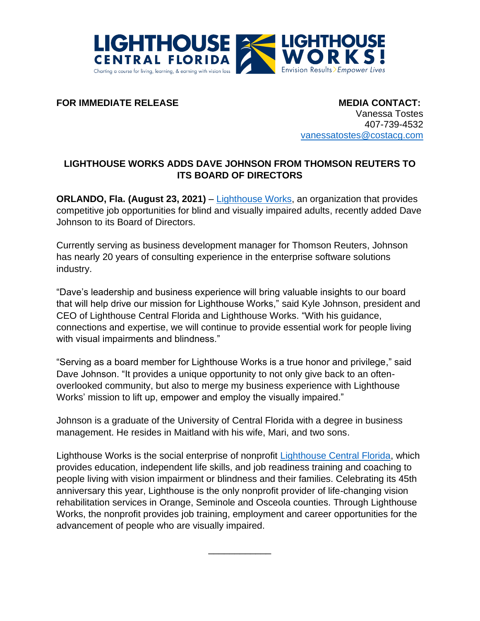

**FOR IMMEDIATE RELEASE MEDIA CONTACT:** 

Vanessa Tostes 407-739-4532 [vanessatostes@costacg.com](mailto:vanessatostes@costacg.com)

## **LIGHTHOUSE WORKS ADDS DAVE JOHNSON FROM THOMSON REUTERS TO ITS BOARD OF DIRECTORS**

**ORLANDO, Fla. (August 23, 2021)** – [Lighthouse Works,](https://www.lighthouseworks.org/) an organization that provides competitive job opportunities for blind and visually impaired adults, recently added Dave Johnson to its Board of Directors.

Currently serving as business development manager for Thomson Reuters, Johnson has nearly 20 years of consulting experience in the enterprise software solutions industry.

"Dave's leadership and business experience will bring valuable insights to our board that will help drive our mission for Lighthouse Works," said Kyle Johnson, president and CEO of Lighthouse Central Florida and Lighthouse Works. "With his guidance, connections and expertise, we will continue to provide essential work for people living with visual impairments and blindness."

"Serving as a board member for Lighthouse Works is a true honor and privilege," said Dave Johnson. "It provides a unique opportunity to not only give back to an oftenoverlooked community, but also to merge my business experience with Lighthouse Works' mission to lift up, empower and employ the visually impaired."

Johnson is a graduate of the University of Central Florida with a degree in business management. He resides in Maitland with his wife, Mari, and two sons.

Lighthouse Works is the social enterprise of nonprofit [Lighthouse Central Florida,](https://lighthousecfl.org/) which provides education, independent life skills, and job readiness training and coaching to people living with vision impairment or blindness and their families. Celebrating its 45th anniversary this year, Lighthouse is the only nonprofit provider of life-changing vision rehabilitation services in Orange, Seminole and Osceola counties. Through Lighthouse Works, the nonprofit provides job training, employment and career opportunities for the advancement of people who are visually impaired.

\_\_\_\_\_\_\_\_\_\_\_\_